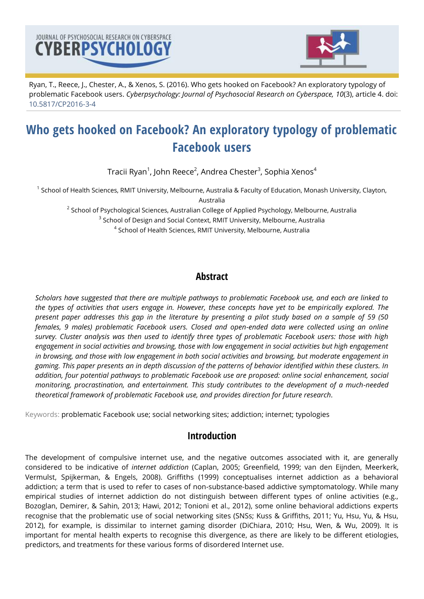



Ryan, T., Reece, J., Chester, A., & Xenos, S. (2016). Who gets hooked on Facebook? An exploratory typology of problematic Facebook users. *Cyberpsychology: Journal of Psychosocial Research on Cyberspace, 10*(3), article 4. doi: [10.5817/CP2016-3-4](http://dx.doi.org/10.5817/CP2016-3-4)

# **Who gets hooked on Facebook? An exploratory typology of problematic Facebook users**

Tracii Ryan $^1$ , John Reece $^2$ , Andrea Chester $^3$ , Sophia Xenos $^4$ 

 $^{\text{\tiny{\textup{1}}}}$  School of Health Sciences, RMIT University, Melbourne, Australia & Faculty of Education, Monash University, Clayton, Australia

 $^{\text{2}}$  School of Psychological Sciences, Australian College of Applied Psychology, Melbourne, Australia

<sup>3</sup> School of Design and Social Context, RMIT University, Melbourne, Australia

 $^4$  School of Health Sciences, RMIT University, Melbourne, Australia

# **Abstract**

*Scholars have suggested that there are multiple pathways to problematic Facebook use, and each are linked to the types of activities that users engage in. However, these concepts have yet to be empirically explored. The present paper addresses this gap in the literature by presenting a pilot study based on a sample of 59 (50 females, 9 males) problematic Facebook users. Closed and open-ended data were collected using an online survey. Cluster analysis was then used to identify three types of problematic Facebook users: those with high*  engagement in social activities and browsing, those with low engagement in social activities but high engagement *in browsing, and those with low engagement in both social activities and browsing, but moderate engagement in gaming. This paper presents an in depth discussion of the patterns of behavior identified within these clusters. In addition, four potential pathways to problematic Facebook use are proposed: online social enhancement, social monitoring, procrastination, and entertainment. This study contributes to the development of a much-needed theoretical framework of problematic Facebook use, and provides direction for future research.*

Keywords: problematic Facebook use; social networking sites; addiction; internet; typologies

# **Introduction**

The development of compulsive internet use, and the negative outcomes associated with it, are generally considered to be indicative of *internet addiction* (Caplan, 2005; Greenfield, 1999; van den Eijnden, Meerkerk, Vermulst, Spijkerman, & Engels, 2008). Griffiths (1999) conceptualises internet addiction as a behavioral addiction; a term that is used to refer to cases of non-substance-based addictive symptomatology. While many empirical studies of internet addiction do not distinguish between different types of online activities (e.g., Bozoglan, Demirer, & Sahin, 2013; Hawi, 2012; Tonioni et al., 2012), some online behavioral addictions experts recognise that the problematic use of social networking sites (SNSs; Kuss & Griffiths, 2011; Yu, Hsu, Yu, & Hsu, 2012), for example, is dissimilar to internet gaming disorder (DiChiara, 2010; Hsu, Wen, & Wu, 2009). It is important for mental health experts to recognise this divergence, as there are likely to be different etiologies, predictors, and treatments for these various forms of disordered Internet use.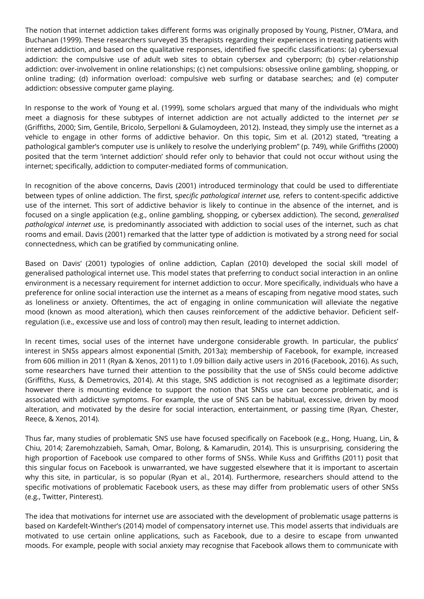The notion that internet addiction takes different forms was originally proposed by Young, Pistner, O'Mara, and Buchanan (1999). These researchers surveyed 35 therapists regarding their experiences in treating patients with internet addiction, and based on the qualitative responses, identified five specific classifications: (a) cybersexual addiction: the compulsive use of adult web sites to obtain cybersex and cyberporn; (b) cyber-relationship addiction: over-involvement in online relationships; (c) net compulsions: obsessive online gambling, shopping, or online trading; (d) information overload: compulsive web surfing or database searches; and (e) computer addiction: obsessive computer game playing.

In response to the work of Young et al. (1999), some scholars argued that many of the individuals who might meet a diagnosis for these subtypes of internet addiction are not actually addicted to the internet *per se*  (Griffiths, 2000; Sim, Gentile, Bricolo, Serpelloni & Gulamoydeen, 2012)*.* Instead, they simply use the internet as a vehicle to engage in other forms of addictive behavior. On this topic, Sim et al. (2012) stated, "treating a pathological gambler's computer use is unlikely to resolve the underlying problem" (p. 749), while Griffiths (2000) posited that the term 'internet addiction' should refer only to behavior that could not occur without using the internet; specifically, addiction to computer-mediated forms of communication.

In recognition of the above concerns, Davis (2001) introduced terminology that could be used to differentiate between types of online addiction. The first, s*pecific pathological internet use,* refers to content-specific addictive use of the internet. This sort of addictive behavior is likely to continue in the absence of the internet, and is focused on a single application (e.g., online gambling, shopping, or cybersex addiction). The second, *generalised pathological internet use,* is predominantly associated with addiction to social uses of the internet, such as chat rooms and email. Davis (2001) remarked that the latter type of addiction is motivated by a strong need for social connectedness, which can be gratified by communicating online.

Based on Davis' (2001) typologies of online addiction, Caplan (2010) developed the social skill model of generalised pathological internet use. This model states that preferring to conduct social interaction in an online environment is a necessary requirement for internet addiction to occur. More specifically, individuals who have a preference for online social interaction use the internet as a means of escaping from negative mood states, such as loneliness or anxiety. Oftentimes, the act of engaging in online communication will alleviate the negative mood (known as mood alteration), which then causes reinforcement of the addictive behavior. Deficient selfregulation (i.e., excessive use and loss of control) may then result, leading to internet addiction.

In recent times, social uses of the internet have undergone considerable growth. In particular, the publics' interest in SNSs appears almost exponential (Smith, 2013a); membership of Facebook, for example, increased from 606 million in 2011 (Ryan & Xenos, 2011) to 1.09 billion daily active users in 2016 (Facebook, 2016). As such, some researchers have turned their attention to the possibility that the use of SNSs could become addictive (Griffiths, Kuss, & Demetrovics, 2014). At this stage, SNS addiction is not recognised as a legitimate disorder; however there is mounting evidence to support the notion that SNSs use can become problematic, and is associated with addictive symptoms. For example, the use of SNS can be habitual, excessive, driven by mood alteration, and motivated by the desire for social interaction, entertainment, or passing time (Ryan, Chester, Reece, & Xenos, 2014).

Thus far, many studies of problematic SNS use have focused specifically on Facebook (e.g., Hong, Huang, Lin, & Chiu, 2014; Zaremohzzabieh, Samah, Omar, Bolong, & Kamarudin, 2014). This is unsurprising, considering the high proportion of Facebook use compared to other forms of SNSs. While Kuss and Griffiths (2011) posit that this singular focus on Facebook is unwarranted, we have suggested elsewhere that it is important to ascertain why this site, in particular, is so popular (Ryan et al., 2014). Furthermore, researchers should attend to the specific motivations of problematic Facebook users, as these may differ from problematic users of other SNSs (e.g., Twitter, Pinterest).

The idea that motivations for internet use are associated with the development of problematic usage patterns is based on Kardefelt-Winther's (2014) model of compensatory internet use. This model asserts that individuals are motivated to use certain online applications, such as Facebook, due to a desire to escape from unwanted moods. For example, people with social anxiety may recognise that Facebook allows them to communicate with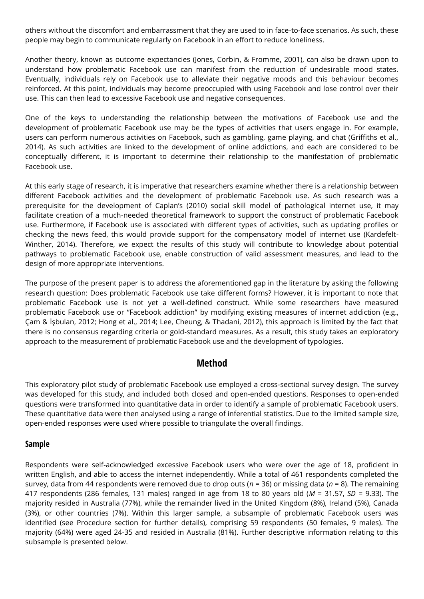others without the discomfort and embarrassment that they are used to in face-to-face scenarios. As such, these people may begin to communicate regularly on Facebook in an effort to reduce loneliness.

Another theory, known as outcome expectancies (Jones, Corbin, & Fromme, 2001), can also be drawn upon to understand how problematic Facebook use can manifest from the reduction of undesirable mood states. Eventually, individuals rely on Facebook use to alleviate their negative moods and this behaviour becomes reinforced. At this point, individuals may become preoccupied with using Facebook and lose control over their use. This can then lead to excessive Facebook use and negative consequences.

One of the keys to understanding the relationship between the motivations of Facebook use and the development of problematic Facebook use may be the types of activities that users engage in. For example, users can perform numerous activities on Facebook, such as gambling, game playing, and chat (Griffiths et al., 2014). As such activities are linked to the development of online addictions, and each are considered to be conceptually different, it is important to determine their relationship to the manifestation of problematic Facebook use.

At this early stage of research, it is imperative that researchers examine whether there is a relationship between different Facebook activities and the development of problematic Facebook use. As such research was a prerequisite for the development of Caplan's (2010) social skill model of pathological internet use, it may facilitate creation of a much-needed theoretical framework to support the construct of problematic Facebook use. Furthermore, if Facebook use is associated with different types of activities, such as updating profiles or checking the news feed, this would provide support for the compensatory model of internet use (Kardefelt-Winther, 2014). Therefore, we expect the results of this study will contribute to knowledge about potential pathways to problematic Facebook use, enable construction of valid assessment measures, and lead to the design of more appropriate interventions.

The purpose of the present paper is to address the aforementioned gap in the literature by asking the following research question: Does problematic Facebook use take different forms? However, it is important to note that problematic Facebook use is not yet a well-defined construct. While some researchers have measured problematic Facebook use or "Facebook addiction" by modifying existing measures of internet addiction (e.g., Çam & İşbulan, 2012; Hong et al., 2014; Lee, Cheung, & Thadani, 2012), this approach is limited by the fact that there is no consensus regarding criteria or gold-standard measures. As a result, this study takes an exploratory approach to the measurement of problematic Facebook use and the development of typologies.

# **Method**

This exploratory pilot study of problematic Facebook use employed a cross-sectional survey design. The survey was developed for this study, and included both closed and open-ended questions. Responses to open-ended questions were transformed into quantitative data in order to identify a sample of problematic Facebook users. These quantitative data were then analysed using a range of inferential statistics. Due to the limited sample size, open-ended responses were used where possible to triangulate the overall findings.

## **Sample**

Respondents were self-acknowledged excessive Facebook users who were over the age of 18, proficient in written English, and able to access the internet independently. While a total of 461 respondents completed the survey, data from 44 respondents were removed due to drop outs (*n* = 36) or missing data (*n* = 8). The remaining 417 respondents (286 females, 131 males) ranged in age from 18 to 80 years old (*M* = 31.57, *SD* = 9.33). The majority resided in Australia (77%), while the remainder lived in the United Kingdom (8%), Ireland (5%), Canada (3%), or other countries (7%). Within this larger sample, a subsample of problematic Facebook users was identified (see Procedure section for further details), comprising 59 respondents (50 females, 9 males). The majority (64%) were aged 24-35 and resided in Australia (81%). Further descriptive information relating to this subsample is presented below.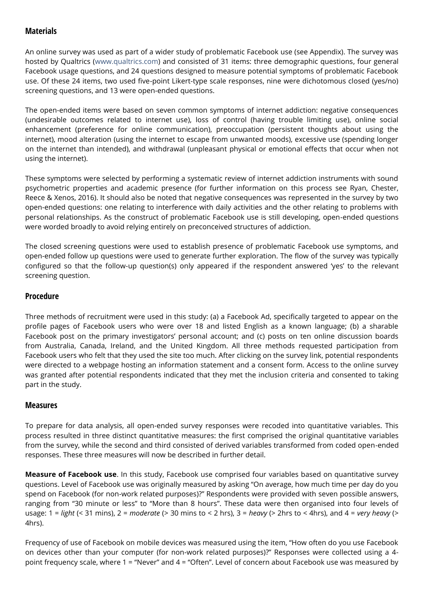## **Materials**

An online survey was used as part of a wider study of problematic Facebook use (see Appendix). The survey was hosted by Qualtrics [\(www.qualtrics.com\)](http://cyberpsychology.eu/www.qualtrics.com) and consisted of 31 items: three demographic questions, four general Facebook usage questions, and 24 questions designed to measure potential symptoms of problematic Facebook use. Of these 24 items, two used five-point Likert-type scale responses, nine were dichotomous closed (yes/no) screening questions, and 13 were open-ended questions.

The open-ended items were based on seven common symptoms of internet addiction: negative consequences (undesirable outcomes related to internet use), loss of control (having trouble limiting use), online social enhancement (preference for online communication), preoccupation (persistent thoughts about using the internet), mood alteration (using the internet to escape from unwanted moods), excessive use (spending longer on the internet than intended), and withdrawal (unpleasant physical or emotional effects that occur when not using the internet).

These symptoms were selected by performing a systematic review of internet addiction instruments with sound psychometric properties and academic presence (for further information on this process see Ryan, Chester, Reece & Xenos, 2016). It should also be noted that negative consequences was represented in the survey by two open-ended questions: one relating to interference with daily activities and the other relating to problems with personal relationships. As the construct of problematic Facebook use is still developing, open-ended questions were worded broadly to avoid relying entirely on preconceived structures of addiction.

The closed screening questions were used to establish presence of problematic Facebook use symptoms, and open-ended follow up questions were used to generate further exploration. The flow of the survey was typically configured so that the follow-up question(s) only appeared if the respondent answered 'yes' to the relevant screening question.

## **Procedure**

Three methods of recruitment were used in this study: (a) a Facebook Ad, specifically targeted to appear on the profile pages of Facebook users who were over 18 and listed English as a known language; (b) a sharable Facebook post on the primary investigators' personal account; and (c) posts on ten online discussion boards from Australia, Canada, Ireland, and the United Kingdom. All three methods requested participation from Facebook users who felt that they used the site too much. After clicking on the survey link, potential respondents were directed to a webpage hosting an information statement and a consent form. Access to the online survey was granted after potential respondents indicated that they met the inclusion criteria and consented to taking part in the study.

## **Measures**

To prepare for data analysis, all open-ended survey responses were recoded into quantitative variables. This process resulted in three distinct quantitative measures: the first comprised the original quantitative variables from the survey, while the second and third consisted of derived variables transformed from coded open-ended responses. These three measures will now be described in further detail.

**Measure of Facebook use**. In this study, Facebook use comprised four variables based on quantitative survey questions. Level of Facebook use was originally measured by asking "On average, how much time per day do you spend on Facebook (for non-work related purposes)?" Respondents were provided with seven possible answers, ranging from "30 minute or less" to "More than 8 hours". These data were then organised into four levels of usage: 1 = *light* (< 31 mins), 2 = *moderate* (> 30 mins to < 2 hrs), 3 = *heavy* (> 2hrs to < 4hrs), and 4 = *very heavy* (> 4hrs).

Frequency of use of Facebook on mobile devices was measured using the item, "How often do you use Facebook on devices other than your computer (for non-work related purposes)?" Responses were collected using a 4 point frequency scale, where 1 = "Never" and 4 = "Often". Level of concern about Facebook use was measured by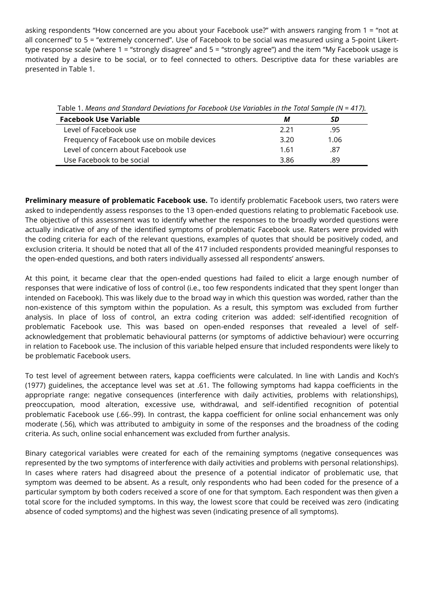asking respondents "How concerned are you about your Facebook use?" with answers ranging from 1 = "not at all concerned" to 5 = "extremely concerned". Use of Facebook to be social was measured using a 5-point Likerttype response scale (where 1 = "strongly disagree" and 5 = "strongly agree") and the item "My Facebook usage is motivated by a desire to be social, or to feel connected to others. Descriptive data for these variables are presented in Table 1.

Table 1. *Means and Standard Deviations for Facebook Use Variables in the Total Sample (N = 417).*

| <b>Facebook Use Variable</b>                | М    | SD   |  |
|---------------------------------------------|------|------|--|
| Level of Facebook use                       | 2.21 | .95  |  |
| Frequency of Facebook use on mobile devices | 3.20 | 1.06 |  |
| Level of concern about Facebook use         | 1.61 | .87  |  |
| Use Facebook to be social                   | 3.86 | .89  |  |

**Preliminary measure of problematic Facebook use.** To identify problematic Facebook users, two raters were asked to independently assess responses to the 13 open-ended questions relating to problematic Facebook use. The objective of this assessment was to identify whether the responses to the broadly worded questions were actually indicative of any of the identified symptoms of problematic Facebook use. Raters were provided with the coding criteria for each of the relevant questions, examples of quotes that should be positively coded, and exclusion criteria. It should be noted that all of the 417 included respondents provided meaningful responses to the open-ended questions, and both raters individually assessed all respondents' answers.

At this point, it became clear that the open-ended questions had failed to elicit a large enough number of responses that were indicative of loss of control (i.e., too few respondents indicated that they spent longer than intended on Facebook). This was likely due to the broad way in which this question was worded, rather than the non-existence of this symptom within the population. As a result, this symptom was excluded from further analysis. In place of loss of control, an extra coding criterion was added: self-identified recognition of problematic Facebook use. This was based on open-ended responses that revealed a level of selfacknowledgement that problematic behavioural patterns (or symptoms of addictive behaviour) were occurring in relation to Facebook use. The inclusion of this variable helped ensure that included respondents were likely to be problematic Facebook users.

To test level of agreement between raters, kappa coefficients were calculated. In line with Landis and Koch's (1977) guidelines, the acceptance level was set at .61. The following symptoms had kappa coefficients in the appropriate range: negative consequences (interference with daily activities, problems with relationships), preoccupation, mood alteration, excessive use, withdrawal, and self-identified recognition of potential problematic Facebook use (.66-.99). In contrast, the kappa coefficient for online social enhancement was only moderate (.56), which was attributed to ambiguity in some of the responses and the broadness of the coding criteria. As such, online social enhancement was excluded from further analysis.

Binary categorical variables were created for each of the remaining symptoms (negative consequences was represented by the two symptoms of interference with daily activities and problems with personal relationships). In cases where raters had disagreed about the presence of a potential indicator of problematic use, that symptom was deemed to be absent. As a result, only respondents who had been coded for the presence of a particular symptom by both coders received a score of one for that symptom. Each respondent was then given a total score for the included symptoms. In this way, the lowest score that could be received was zero (indicating absence of coded symptoms) and the highest was seven (indicating presence of all symptoms).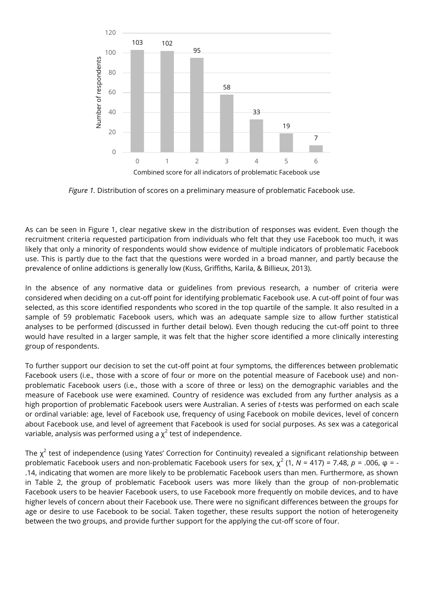

*Figure 1.* Distribution of scores on a preliminary measure of problematic Facebook use.

As can be seen in Figure 1, clear negative skew in the distribution of responses was evident. Even though the recruitment criteria requested participation from individuals who felt that they use Facebook too much, it was likely that only a minority of respondents would show evidence of multiple indicators of problematic Facebook use. This is partly due to the fact that the questions were worded in a broad manner, and partly because the prevalence of online addictions is generally low (Kuss, Griffiths, Karila, & Billieux, 2013).

In the absence of any normative data or guidelines from previous research, a number of criteria were considered when deciding on a cut-off point for identifying problematic Facebook use. A cut-off point of four was selected, as this score identified respondents who scored in the top quartile of the sample. It also resulted in a sample of 59 problematic Facebook users, which was an adequate sample size to allow further statistical analyses to be performed (discussed in further detail below). Even though reducing the cut-off point to three would have resulted in a larger sample, it was felt that the higher score identified a more clinically interesting group of respondents.

To further support our decision to set the cut-off point at four symptoms, the differences between problematic Facebook users (i.e., those with a score of four or more on the potential measure of Facebook use) and nonproblematic Facebook users (i.e., those with a score of three or less) on the demographic variables and the measure of Facebook use were examined. Country of residence was excluded from any further analysis as a high proportion of problematic Facebook users were Australian. A series of *t*-tests was performed on each scale or ordinal variable: age, level of Facebook use, frequency of using Facebook on mobile devices, level of concern about Facebook use, and level of agreement that Facebook is used for social purposes. As sex was a categorical variable, analysis was performed using a  $\chi^2$  test of independence.

The  $\chi^2$  test of independence (using Yates' Correction for Continuity) revealed a significant relationship between problematic Facebook users and non-problematic Facebook users for sex,  $\chi^2$  (1, N = 417) = 7.48, *p* = .006, φ = -.14, indicating that women are more likely to be problematic Facebook users than men. Furthermore, as shown in Table 2, the group of problematic Facebook users was more likely than the group of non-problematic Facebook users to be heavier Facebook users, to use Facebook more frequently on mobile devices, and to have higher levels of concern about their Facebook use. There were no significant differences between the groups for age or desire to use Facebook to be social. Taken together, these results support the notion of heterogeneity between the two groups, and provide further support for the applying the cut-off score of four.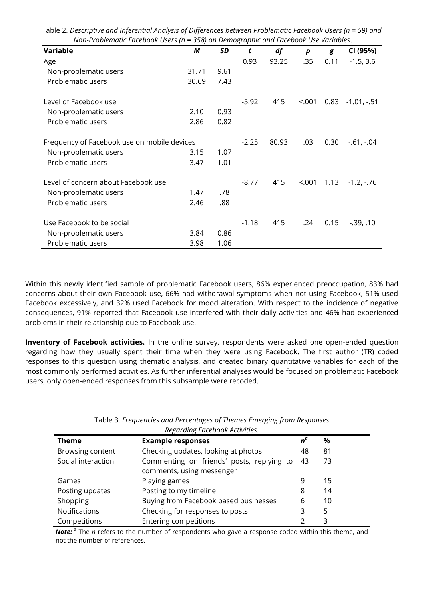| 011 11001 cmatter accoon 05c15 (11<br>sso, on Bennographic and racebook ose variables. |       |         |         |       |        |              |               |
|----------------------------------------------------------------------------------------|-------|---------|---------|-------|--------|--------------|---------------|
| <b>Variable</b>                                                                        | М     | SD      | t       | df    | p      | g            | CI (95%)      |
| Age                                                                                    |       |         | 0.93    | 93.25 | .35    | 0.11         | $-1.5, 3.6$   |
| Non-problematic users                                                                  | 31.71 | 9.61    |         |       |        |              |               |
| Problematic users                                                                      | 30.69 | 7.43    |         |       |        |              |               |
| Level of Facebook use                                                                  |       |         | $-5.92$ | 415   | < .001 | 0.83         | $-1.01, -51$  |
| Non-problematic users                                                                  | 2.10  | 0.93    |         |       |        |              |               |
| Problematic users                                                                      | 2.86  | 0.82    |         |       |        |              |               |
| Frequency of Facebook use on mobile devices                                            |       | $-2.25$ | 80.93   | .03   | 0.30   | $-.61, -.04$ |               |
| Non-problematic users                                                                  | 3.15  | 1.07    |         |       |        |              |               |
| Problematic users                                                                      | 3.47  | 1.01    |         |       |        |              |               |
| Level of concern about Facebook use                                                    |       |         | $-8.77$ | 415   | < .001 | 1.13         | $-1.2, -76$   |
| Non-problematic users                                                                  | 1.47  | .78     |         |       |        |              |               |
| Problematic users                                                                      | 2.46  | .88     |         |       |        |              |               |
| Use Facebook to be social                                                              |       |         | $-1.18$ | 415   | .24    | 0.15         | $-0.39, 0.10$ |
| Non-problematic users                                                                  | 3.84  | 0.86    |         |       |        |              |               |
| Problematic users                                                                      | 3.98  | 1.06    |         |       |        |              |               |

Table 2. *Descriptive and Inferential Analysis of Differences between Problematic Facebook Users (n = 59) and Non-Problematic Facebook Users (n = 358) on Demographic and Facebook Use Variables*.

Within this newly identified sample of problematic Facebook users, 86% experienced preoccupation, 83% had concerns about their own Facebook use, 66% had withdrawal symptoms when not using Facebook, 51% used Facebook excessively, and 32% used Facebook for mood alteration. With respect to the incidence of negative consequences, 91% reported that Facebook use interfered with their daily activities and 46% had experienced problems in their relationship due to Facebook use.

**Inventory of Facebook activities.** In the online survey, respondents were asked one open-ended question regarding how they usually spent their time when they were using Facebook. The first author (TR) coded responses to this question using thematic analysis, and created binary quantitative variables for each of the most commonly performed activities. As further inferential analyses would be focused on problematic Facebook users, only open-ended responses from this subsample were recoded.

| <b>Theme</b>       | <b>Example responses</b>                                               | $n^{\alpha}$ | $\%$ |
|--------------------|------------------------------------------------------------------------|--------------|------|
| Browsing content   | Checking updates, looking at photos                                    | 48           | 81   |
| Social interaction | Commenting on friends' posts, replying to<br>comments, using messenger | 43           | 73   |
| Games              | Playing games                                                          | 9            | 15   |
| Posting updates    | Posting to my timeline                                                 | 8            | 14   |
| Shopping           | Buying from Facebook based businesses                                  | 6            | 10   |
| Notifications      | Checking for responses to posts                                        | 3            | 5    |
| Competitions       | <b>Entering competitions</b>                                           |              | 3    |

Table 3. *Frequencies and Percentages of Themes Emerging from Responses Regarding Facebook Activities*.

Note:<sup>a</sup> The *n* refers to the number of respondents who gave a response coded within this theme, and not the number of references.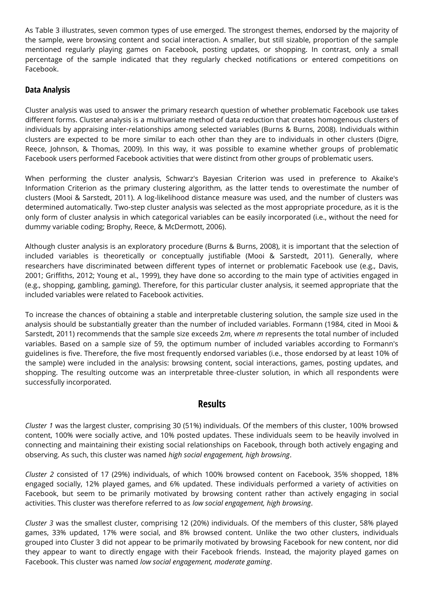As Table 3 illustrates, seven common types of use emerged. The strongest themes, endorsed by the majority of the sample, were browsing content and social interaction. A smaller, but still sizable, proportion of the sample mentioned regularly playing games on Facebook, posting updates, or shopping. In contrast, only a small percentage of the sample indicated that they regularly checked notifications or entered competitions on Facebook.

## **Data Analysis**

Cluster analysis was used to answer the primary research question of whether problematic Facebook use takes different forms. Cluster analysis is a multivariate method of data reduction that creates homogenous clusters of individuals by appraising inter-relationships among selected variables (Burns & Burns, 2008). Individuals within clusters are expected to be more similar to each other than they are to individuals in other clusters (Digre, Reece, Johnson, & Thomas, 2009). In this way, it was possible to examine whether groups of problematic Facebook users performed Facebook activities that were distinct from other groups of problematic users.

When performing the cluster analysis, Schwarz's Bayesian Criterion was used in preference to Akaike's Information Criterion as the primary clustering algorithm*,* as the latter tends to overestimate the number of clusters (Mooi & Sarstedt, 2011). A log-likelihood distance measure was used, and the number of clusters was determined automatically. Two-step cluster analysis was selected as the most appropriate procedure, as it is the only form of cluster analysis in which categorical variables can be easily incorporated (i.e., without the need for dummy variable coding; Brophy, Reece, & McDermott, 2006).

Although cluster analysis is an exploratory procedure (Burns & Burns, 2008), it is important that the selection of included variables is theoretically or conceptually justifiable (Mooi & Sarstedt, 2011). Generally, where researchers have discriminated between different types of internet or problematic Facebook use (e.g., Davis, 2001; Griffiths, 2012; Young et al., 1999), they have done so according to the main type of activities engaged in (e.g., shopping, gambling, gaming). Therefore, for this particular cluster analysis, it seemed appropriate that the included variables were related to Facebook activities.

To increase the chances of obtaining a stable and interpretable clustering solution, the sample size used in the analysis should be substantially greater than the number of included variables. Formann (1984, cited in Mooi & Sarstedt, 2011) recommends that the sample size exceeds 2*m*, where *m* represents the total number of included variables. Based on a sample size of 59, the optimum number of included variables according to Formann's guidelines is five. Therefore, the five most frequently endorsed variables (i.e., those endorsed by at least 10% of the sample) were included in the analysis: browsing content, social interactions, games, posting updates, and shopping. The resulting outcome was an interpretable three-cluster solution, in which all respondents were successfully incorporated.

## **Results**

*Cluster 1* was the largest cluster, comprising 30 (51%) individuals. Of the members of this cluster, 100% browsed content, 100% were socially active, and 10% posted updates. These individuals seem to be heavily involved in connecting and maintaining their existing social relationships on Facebook, through both actively engaging and observing. As such, this cluster was named *high social engagement, high browsing*.

*Cluster 2* consisted of 17 (29%) individuals, of which 100% browsed content on Facebook, 35% shopped, 18% engaged socially, 12% played games, and 6% updated. These individuals performed a variety of activities on Facebook, but seem to be primarily motivated by browsing content rather than actively engaging in social activities. This cluster was therefore referred to as *low social engagement, high browsing*.

*Cluster 3* was the smallest cluster, comprising 12 (20%) individuals. Of the members of this cluster, 58% played games, 33% updated, 17% were social, and 8% browsed content. Unlike the two other clusters, individuals grouped into Cluster 3 did not appear to be primarily motivated by browsing Facebook for new content, nor did they appear to want to directly engage with their Facebook friends. Instead, the majority played games on Facebook. This cluster was named *low social engagement, moderate gaming*.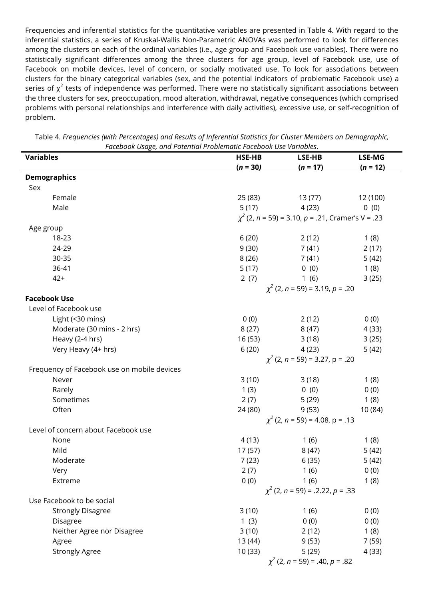Frequencies and inferential statistics for the quantitative variables are presented in Table 4. With regard to the inferential statistics, a series of Kruskal-Wallis Non-Parametric ANOVAs was performed to look for differences among the clusters on each of the ordinal variables (i.e., age group and Facebook use variables). There were no statistically significant differences among the three clusters for age group, level of Facebook use, use of Facebook on mobile devices, level of concern, or socially motivated use. To look for associations between clusters for the binary categorical variables (sex, and the potential indicators of problematic Facebook use) a series of  $\chi^2$  tests of independence was performed. There were no statistically significant associations between the three clusters for sex, preoccupation, mood alteration, withdrawal, negative consequences (which comprised problems with personal relationships and interference with daily activities), excessive use, or self-recognition of problem.

| <b>Variables</b>                            | raccoon osage, and rotentiar ri<br>opicinatic raccooon osc variables.<br>LSE-MG<br>HSE-HB<br>LSE-HB |            |            |  |  |
|---------------------------------------------|-----------------------------------------------------------------------------------------------------|------------|------------|--|--|
|                                             | $(n = 30)$                                                                                          | $(n = 17)$ | $(n = 12)$ |  |  |
| <b>Demographics</b>                         |                                                                                                     |            |            |  |  |
| Sex                                         |                                                                                                     |            |            |  |  |
| Female                                      | 25 (83)                                                                                             | 13 (77)    | 12 (100)   |  |  |
| Male                                        | 5(17)                                                                                               | 4(23)      | 0(0)       |  |  |
|                                             | $\chi^2$ (2, n = 59) = 3.10, p = .21, Cramer's V = .23                                              |            |            |  |  |
| Age group                                   |                                                                                                     |            |            |  |  |
| 18-23                                       | 6(20)                                                                                               | 2(12)      | 1(8)       |  |  |
| 24-29                                       | 9(30)                                                                                               | 7 (41)     | 2(17)      |  |  |
| 30-35                                       | 8(26)                                                                                               | 7 (41)     | 5(42)      |  |  |
| 36-41                                       | 5(17)                                                                                               | 0(0)       | 1(8)       |  |  |
| $42+$                                       | 2(7)                                                                                                | 1(6)       | 3(25)      |  |  |
|                                             | $\chi^2$ (2, n = 59) = 3.19, p = .20                                                                |            |            |  |  |
| <b>Facebook Use</b>                         |                                                                                                     |            |            |  |  |
| Level of Facebook use                       |                                                                                                     |            |            |  |  |
| Light (<30 mins)                            | 0(0)                                                                                                | 2(12)      | 0(0)       |  |  |
| Moderate (30 mins - 2 hrs)                  | 8(27)                                                                                               | 8(47)      | 4(33)      |  |  |
| Heavy (2-4 hrs)                             | 16 (53)                                                                                             | 3(18)      | 3(25)      |  |  |
| Very Heavy (4+ hrs)                         | 6(20)                                                                                               | 4(23)      | 5(42)      |  |  |
|                                             | $\chi^2$ (2, n = 59) = 3.27, p = .20                                                                |            |            |  |  |
| Frequency of Facebook use on mobile devices |                                                                                                     |            |            |  |  |
| Never                                       | 3(10)                                                                                               | 3(18)      | 1(8)       |  |  |
| Rarely                                      | 1(3)                                                                                                | 0(0)       | 0(0)       |  |  |
| Sometimes                                   | 2(7)                                                                                                | 5(29)      | 1(8)       |  |  |
| Often                                       | 24 (80)                                                                                             | 9(53)      | 10 (84)    |  |  |
|                                             | $\chi^2$ (2, n = 59) = 4.08, p = .13                                                                |            |            |  |  |
| Level of concern about Facebook use         |                                                                                                     |            |            |  |  |
| None                                        | 4(13)                                                                                               | 1(6)       | 1(8)       |  |  |
| Mild                                        | 17(57)                                                                                              | 8(47)      | 5(42)      |  |  |
| Moderate                                    | 7(23)                                                                                               | 6(35)      | 5(42)      |  |  |
| Very                                        | 2(7)                                                                                                | 1(6)       | 0(0)       |  |  |
| Extreme                                     | 0(0)                                                                                                | 1(6)       | 1(8)       |  |  |
|                                             | $\chi^2$ (2, n = 59) = .2.22, p = .33                                                               |            |            |  |  |
| Use Facebook to be social                   |                                                                                                     |            |            |  |  |
| <b>Strongly Disagree</b>                    | 3(10)                                                                                               | 1(6)       | 0(0)       |  |  |
| Disagree                                    | 1(3)                                                                                                | 0(0)       | 0(0)       |  |  |
| Neither Agree nor Disagree                  | 3(10)                                                                                               | 2(12)      | 1(8)       |  |  |
| Agree                                       | 13 (44)                                                                                             | 9(53)      | 7 (59)     |  |  |
| <b>Strongly Agree</b>                       | 10 (33)                                                                                             | 5(29)      | 4 (33)     |  |  |
|                                             | $\chi^2$ (2, n = 59) = .40, p = .82                                                                 |            |            |  |  |

Table 4. *Frequencies (with Percentages) and Results of Inferential Statistics for Cluster Members on Demographic, Facebook Usage, and Potential Problematic Facebook Use Variables*.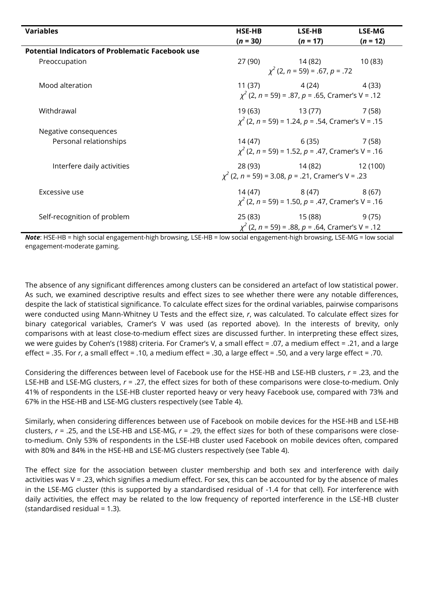| <b>Variables</b>                                        | <b>HSE-HB</b><br>$(n = 30)$ | LSE-HB<br>$(n = 17)$                                                               | <b>LSE-MG</b><br>$(n = 12)$ |
|---------------------------------------------------------|-----------------------------|------------------------------------------------------------------------------------|-----------------------------|
| <b>Potential Indicators of Problematic Facebook use</b> |                             |                                                                                    |                             |
| Preoccupation                                           |                             | 27 (90) 14 (82) 10 (83)<br>$\chi^2$ (2, n = 59) = .67, p = .72                     |                             |
| Mood alteration                                         |                             | $11(37)$ $4(24)$ $4(33)$<br>$\chi^2$ (2, n = 59) = .87, p = .65, Cramer's V = .12  |                             |
| Withdrawal                                              |                             | 19(63) 13(77) 7(58)<br>$\chi^2$ (2, n = 59) = 1.24, p = .54, Cramer's V = .15      |                             |
| Negative consequences                                   |                             |                                                                                    |                             |
| Personal relationships                                  |                             | $14(47)$ 6(35) 7(58)<br>$\chi^2$ (2, n = 59) = 1.52, p = .47, Cramer's V = .16     |                             |
| Interfere daily activities                              |                             | 28 (93) 14 (82) 12 (100)<br>$\chi^2$ (2, n = 59) = 3.08, p = .21, Cramer's V = .23 |                             |
| Excessive use                                           |                             | $14(47)$ $8(47)$ $8(67)$<br>$\chi^2$ (2, n = 59) = 1.50, p = .47, Cramer's V = .16 |                             |
| Self-recognition of problem                             |                             | 25 (83) 15 (88)<br>$\chi^2$ (2, n = 59) = .88, p = .64, Cramer's V = .12           | 9(75)                       |

*Note*: HSE-HB = high social engagement-high browsing, LSE-HB = low social engagement-high browsing, LSE-MG = low social engagement-moderate gaming.

The absence of any significant differences among clusters can be considered an artefact of low statistical power. As such, we examined descriptive results and effect sizes to see whether there were any notable differences, despite the lack of statistical significance. To calculate effect sizes for the ordinal variables, pairwise comparisons were conducted using Mann-Whitney U Tests and the effect size, *r*, was calculated. To calculate effect sizes for binary categorical variables, Cramer's V was used (as reported above). In the interests of brevity, only comparisons with at least close-to-medium effect sizes are discussed further. In interpreting these effect sizes, we were guides by Cohen's (1988) criteria. For Cramer's V, a small effect = .07, a medium effect = .21, and a large effect = .35. For *r*, a small effect = .10, a medium effect = .30, a large effect = .50, and a very large effect = .70.

Considering the differences between level of Facebook use for the HSE-HB and LSE-HB clusters, *r* = .23, and the LSE-HB and LSE-MG clusters, *r* = .27, the effect sizes for both of these comparisons were close-to-medium. Only 41% of respondents in the LSE-HB cluster reported heavy or very heavy Facebook use, compared with 73% and 67% in the HSE-HB and LSE-MG clusters respectively (see Table 4).

Similarly, when considering differences between use of Facebook on mobile devices for the HSE-HB and LSE-HB clusters, *r* = .25, and the LSE-HB and LSE-MG, *r* = .29, the effect sizes for both of these comparisons were closeto-medium. Only 53% of respondents in the LSE-HB cluster used Facebook on mobile devices often, compared with 80% and 84% in the HSE-HB and LSE-MG clusters respectively (see Table 4).

The effect size for the association between cluster membership and both sex and interference with daily activities was V = .23, which signifies a medium effect. For sex, this can be accounted for by the absence of males in the LSE-MG cluster (this is supported by a standardised residual of -1.4 for that cell). For interference with daily activities, the effect may be related to the low frequency of reported interference in the LSE-HB cluster (standardised residual = 1.3).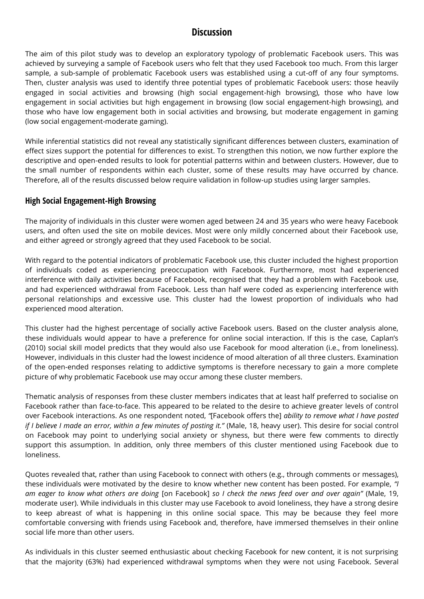# **Discussion**

The aim of this pilot study was to develop an exploratory typology of problematic Facebook users. This was achieved by surveying a sample of Facebook users who felt that they used Facebook too much. From this larger sample, a sub-sample of problematic Facebook users was established using a cut-off of any four symptoms. Then, cluster analysis was used to identify three potential types of problematic Facebook users: those heavily engaged in social activities and browsing (high social engagement-high browsing), those who have low engagement in social activities but high engagement in browsing (low social engagement-high browsing), and those who have low engagement both in social activities and browsing, but moderate engagement in gaming (low social engagement-moderate gaming).

While inferential statistics did not reveal any statistically significant differences between clusters, examination of effect sizes support the potential for differences to exist. To strengthen this notion, we now further explore the descriptive and open-ended results to look for potential patterns within and between clusters. However, due to the small number of respondents within each cluster, some of these results may have occurred by chance. Therefore, all of the results discussed below require validation in follow-up studies using larger samples.

## **High Social Engagement-High Browsing**

The majority of individuals in this cluster were women aged between 24 and 35 years who were heavy Facebook users, and often used the site on mobile devices. Most were only mildly concerned about their Facebook use, and either agreed or strongly agreed that they used Facebook to be social.

With regard to the potential indicators of problematic Facebook use, this cluster included the highest proportion of individuals coded as experiencing preoccupation with Facebook. Furthermore, most had experienced interference with daily activities because of Facebook, recognised that they had a problem with Facebook use, and had experienced withdrawal from Facebook. Less than half were coded as experiencing interference with personal relationships and excessive use. This cluster had the lowest proportion of individuals who had experienced mood alteration.

This cluster had the highest percentage of socially active Facebook users. Based on the cluster analysis alone, these individuals would appear to have a preference for online social interaction. If this is the case, Caplan's (2010) social skill model predicts that they would also use Facebook for mood alteration (i.e., from loneliness). However, individuals in this cluster had the lowest incidence of mood alteration of all three clusters. Examination of the open-ended responses relating to addictive symptoms is therefore necessary to gain a more complete picture of why problematic Facebook use may occur among these cluster members.

Thematic analysis of responses from these cluster members indicates that at least half preferred to socialise on Facebook rather than face-to-face. This appeared to be related to the desire to achieve greater levels of control over Facebook interactions. As one respondent noted, *"*[Facebook offers the] *ability to remove what I have posted if I believe I made an error, within a few minutes of posting it."* (Male, 18, heavy user). This desire for social control on Facebook may point to underlying social anxiety or shyness, but there were few comments to directly support this assumption. In addition, only three members of this cluster mentioned using Facebook due to loneliness.

Quotes revealed that, rather than using Facebook to connect with others (e.g., through comments or messages), these individuals were motivated by the desire to know whether new content has been posted. For example, *"I am eager to know what others are doing* [on Facebook] *so I check the news feed over and over again"* (Male, 19, moderate user). While individuals in this cluster may use Facebook to avoid loneliness, they have a strong desire to keep abreast of what is happening in this online social space. This may be because they feel more comfortable conversing with friends using Facebook and, therefore, have immersed themselves in their online social life more than other users.

As individuals in this cluster seemed enthusiastic about checking Facebook for new content, it is not surprising that the majority (63%) had experienced withdrawal symptoms when they were not using Facebook. Several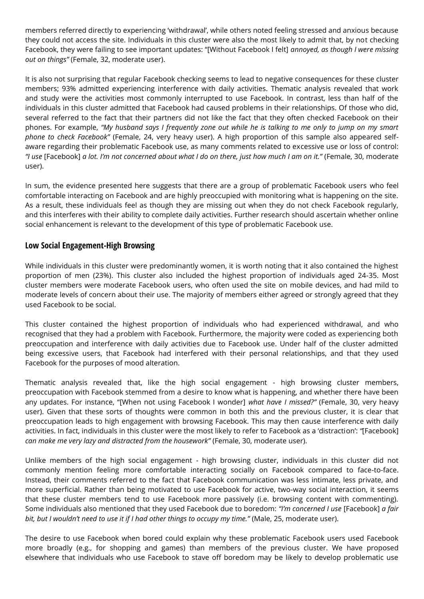members referred directly to experiencing 'withdrawal', while others noted feeling stressed and anxious because they could not access the site. Individuals in this cluster were also the most likely to admit that, by not checking Facebook, they were failing to see important updates: "[Without Facebook I felt] *annoyed, as though I were missing out on things"* (Female, 32, moderate user).

It is also not surprising that regular Facebook checking seems to lead to negative consequences for these cluster members; 93% admitted experiencing interference with daily activities. Thematic analysis revealed that work and study were the activities most commonly interrupted to use Facebook. In contrast, less than half of the individuals in this cluster admitted that Facebook had caused problems in their relationships. Of those who did, several referred to the fact that their partners did not like the fact that they often checked Facebook on their phones. For example, *"My husband says I frequently zone out while he is talking to me only to jump on my smart phone to check Facebook"* (Female, 24, very heavy user). A high proportion of this sample also appeared selfaware regarding their problematic Facebook use, as many comments related to excessive use or loss of control: *"I use* [Facebook] *a lot. I'm not concerned about what I do on there, just how much I am on it."* (Female, 30, moderate user).

In sum, the evidence presented here suggests that there are a group of problematic Facebook users who feel comfortable interacting on Facebook and are highly preoccupied with monitoring what is happening on the site. As a result, these individuals feel as though they are missing out when they do not check Facebook regularly, and this interferes with their ability to complete daily activities. Further research should ascertain whether online social enhancement is relevant to the development of this type of problematic Facebook use.

## **Low Social Engagement-High Browsing**

While individuals in this cluster were predominantly women, it is worth noting that it also contained the highest proportion of men (23%). This cluster also included the highest proportion of individuals aged 24-35. Most cluster members were moderate Facebook users, who often used the site on mobile devices, and had mild to moderate levels of concern about their use. The majority of members either agreed or strongly agreed that they used Facebook to be social.

This cluster contained the highest proportion of individuals who had experienced withdrawal, and who recognised that they had a problem with Facebook. Furthermore, the majority were coded as experiencing both preoccupation and interference with daily activities due to Facebook use. Under half of the cluster admitted being excessive users, that Facebook had interfered with their personal relationships, and that they used Facebook for the purposes of mood alteration.

Thematic analysis revealed that, like the high social engagement - high browsing cluster members, preoccupation with Facebook stemmed from a desire to know what is happening, and whether there have been any updates. For instance, "[When not using Facebook I wonder] *what have I missed?"* (Female, 30, very heavy user). Given that these sorts of thoughts were common in both this and the previous cluster, it is clear that preoccupation leads to high engagement with browsing Facebook. This may then cause interference with daily activities. In fact, individuals in this cluster were the most likely to refer to Facebook as a 'distraction': *"*[Facebook] *can make me very lazy and distracted from the housework"* (Female, 30, moderate user).

Unlike members of the high social engagement - high browsing cluster, individuals in this cluster did not commonly mention feeling more comfortable interacting socially on Facebook compared to face-to-face. Instead, their comments referred to the fact that Facebook communication was less intimate, less private, and more superficial. Rather than being motivated to use Facebook for active, two-way social interaction, it seems that these cluster members tend to use Facebook more passively (i.e. browsing content with commenting). Some individuals also mentioned that they used Facebook due to boredom: *"I'm concerned I use* [Facebook] *a fair bit, but I wouldn't need to use it if I had other things to occupy my time."* (Male, 25, moderate user).

The desire to use Facebook when bored could explain why these problematic Facebook users used Facebook more broadly (e.g., for shopping and games) than members of the previous cluster. We have proposed elsewhere that individuals who use Facebook to stave off boredom may be likely to develop problematic use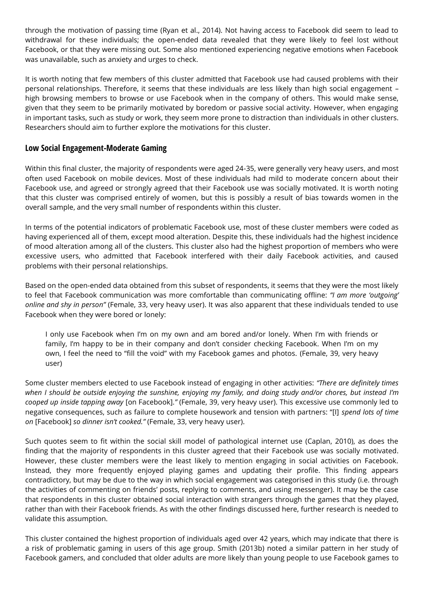through the motivation of passing time (Ryan et al., 2014). Not having access to Facebook did seem to lead to withdrawal for these individuals; the open-ended data revealed that they were likely to feel lost without Facebook, or that they were missing out. Some also mentioned experiencing negative emotions when Facebook was unavailable, such as anxiety and urges to check.

It is worth noting that few members of this cluster admitted that Facebook use had caused problems with their personal relationships. Therefore, it seems that these individuals are less likely than high social engagement – high browsing members to browse or use Facebook when in the company of others. This would make sense, given that they seem to be primarily motivated by boredom or passive social activity. However, when engaging in important tasks, such as study or work, they seem more prone to distraction than individuals in other clusters. Researchers should aim to further explore the motivations for this cluster.

## **Low Social Engagement-Moderate Gaming**

Within this final cluster, the majority of respondents were aged 24-35, were generally very heavy users, and most often used Facebook on mobile devices. Most of these individuals had mild to moderate concern about their Facebook use, and agreed or strongly agreed that their Facebook use was socially motivated. It is worth noting that this cluster was comprised entirely of women, but this is possibly a result of bias towards women in the overall sample, and the very small number of respondents within this cluster.

In terms of the potential indicators of problematic Facebook use, most of these cluster members were coded as having experienced all of them, except mood alteration. Despite this, these individuals had the highest incidence of mood alteration among all of the clusters. This cluster also had the highest proportion of members who were excessive users, who admitted that Facebook interfered with their daily Facebook activities, and caused problems with their personal relationships.

Based on the open-ended data obtained from this subset of respondents, it seems that they were the most likely to feel that Facebook communication was more comfortable than communicating offline: *"I am more 'outgoing' online and shy in person"* (Female, 33, very heavy user). It was also apparent that these individuals tended to use Facebook when they were bored or lonely:

I only use Facebook when I'm on my own and am bored and/or lonely. When I'm with friends or family, I'm happy to be in their company and don't consider checking Facebook. When I'm on my own, I feel the need to "fill the void" with my Facebook games and photos. (Female, 39, very heavy user)

Some cluster members elected to use Facebook instead of engaging in other activities: *"There are definitely times when I should be outside enjoying the sunshine, enjoying my family, and doing study and/or chores, but instead I'm cooped up inside tapping away* [on Facebook].*"* (Female, 39, very heavy user). This excessive use commonly led to negative consequences, such as failure to complete housework and tension with partners: "[I] *spend lots of time on* [Facebook] *so dinner isn't cooked."* (Female, 33, very heavy user).

Such quotes seem to fit within the social skill model of pathological internet use (Caplan, 2010), as does the finding that the majority of respondents in this cluster agreed that their Facebook use was socially motivated. However, these cluster members were the least likely to mention engaging in social activities on Facebook. Instead, they more frequently enjoyed playing games and updating their profile. This finding appears contradictory, but may be due to the way in which social engagement was categorised in this study (i.e. through the activities of commenting on friends' posts, replying to comments, and using messenger). It may be the case that respondents in this cluster obtained social interaction with strangers through the games that they played, rather than with their Facebook friends. As with the other findings discussed here, further research is needed to validate this assumption.

This cluster contained the highest proportion of individuals aged over 42 years, which may indicate that there is a risk of problematic gaming in users of this age group. Smith (2013b) noted a similar pattern in her study of Facebook gamers, and concluded that older adults are more likely than young people to use Facebook games to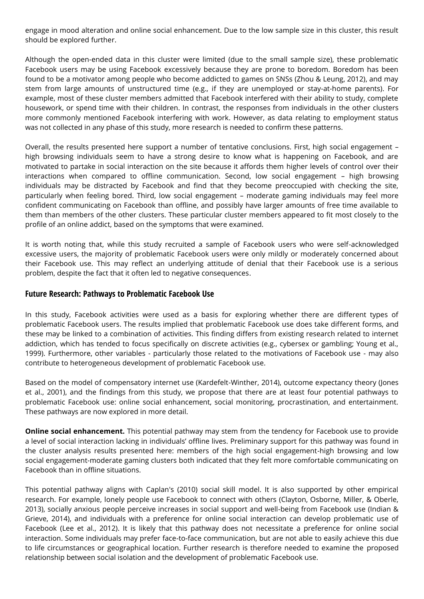engage in mood alteration and online social enhancement. Due to the low sample size in this cluster, this result should be explored further.

Although the open-ended data in this cluster were limited (due to the small sample size), these problematic Facebook users may be using Facebook excessively because they are prone to boredom. Boredom has been found to be a motivator among people who become addicted to games on SNSs (Zhou & Leung, 2012), and may stem from large amounts of unstructured time (e.g., if they are unemployed or stay-at-home parents). For example, most of these cluster members admitted that Facebook interfered with their ability to study, complete housework, or spend time with their children. In contrast, the responses from individuals in the other clusters more commonly mentioned Facebook interfering with work. However, as data relating to employment status was not collected in any phase of this study, more research is needed to confirm these patterns.

Overall, the results presented here support a number of tentative conclusions. First, high social engagement – high browsing individuals seem to have a strong desire to know what is happening on Facebook, and are motivated to partake in social interaction on the site because it affords them higher levels of control over their interactions when compared to offline communication. Second, low social engagement – high browsing individuals may be distracted by Facebook and find that they become preoccupied with checking the site, particularly when feeling bored. Third, low social engagement – moderate gaming individuals may feel more confident communicating on Facebook than offline, and possibly have larger amounts of free time available to them than members of the other clusters. These particular cluster members appeared to fit most closely to the profile of an online addict, based on the symptoms that were examined.

It is worth noting that, while this study recruited a sample of Facebook users who were self-acknowledged excessive users, the majority of problematic Facebook users were only mildly or moderately concerned about their Facebook use. This may reflect an underlying attitude of denial that their Facebook use is a serious problem, despite the fact that it often led to negative consequences.

#### **Future Research: Pathways to Problematic Facebook Use**

In this study, Facebook activities were used as a basis for exploring whether there are different types of problematic Facebook users. The results implied that problematic Facebook use does take different forms, and these may be linked to a combination of activities. This finding differs from existing research related to internet addiction, which has tended to focus specifically on discrete activities (e.g., cybersex or gambling; Young et al., 1999). Furthermore, other variables - particularly those related to the motivations of Facebook use - may also contribute to heterogeneous development of problematic Facebook use.

Based on the model of compensatory internet use (Kardefelt-Winther, 2014), outcome expectancy theory (Jones et al., 2001), and the findings from this study, we propose that there are at least four potential pathways to problematic Facebook use: online social enhancement, social monitoring, procrastination, and entertainment. These pathways are now explored in more detail.

**Online social enhancement.** This potential pathway may stem from the tendency for Facebook use to provide a level of social interaction lacking in individuals' offline lives. Preliminary support for this pathway was found in the cluster analysis results presented here: members of the high social engagement-high browsing and low social engagement-moderate gaming clusters both indicated that they felt more comfortable communicating on Facebook than in offline situations.

This potential pathway aligns with Caplan's (2010) social skill model. It is also supported by other empirical research. For example, lonely people use Facebook to connect with others (Clayton, Osborne, Miller, & Oberle, 2013), socially anxious people perceive increases in social support and well-being from Facebook use (Indian & Grieve, 2014), and individuals with a preference for online social interaction can develop problematic use of Facebook (Lee et al., 2012). It is likely that this pathway does not necessitate a preference for online social interaction. Some individuals may prefer face-to-face communication, but are not able to easily achieve this due to life circumstances or geographical location. Further research is therefore needed to examine the proposed relationship between social isolation and the development of problematic Facebook use.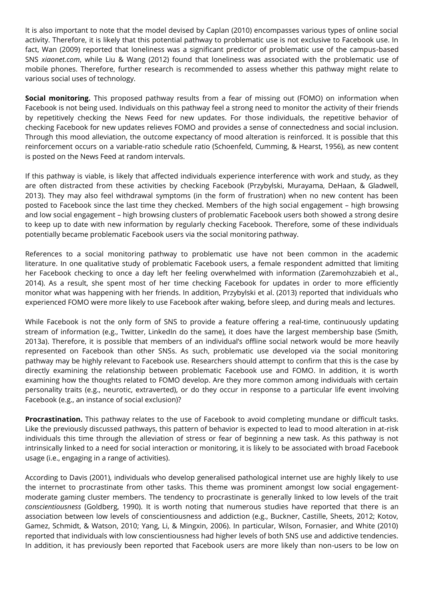It is also important to note that the model devised by Caplan (2010) encompasses various types of online social activity. Therefore, it is likely that this potential pathway to problematic use is not exclusive to Facebook use. In fact, Wan (2009) reported that loneliness was a significant predictor of problematic use of the campus-based SNS *xiaonet.com*, while Liu & Wang (2012) found that loneliness was associated with the problematic use of mobile phones. Therefore, further research is recommended to assess whether this pathway might relate to various social uses of technology.

**Social monitoring.** This proposed pathway results from a fear of missing out (FOMO) on information when Facebook is not being used. Individuals on this pathway feel a strong need to monitor the activity of their friends by repetitively checking the News Feed for new updates. For those individuals, the repetitive behavior of checking Facebook for new updates relieves FOMO and provides a sense of connectedness and social inclusion. Through this mood alleviation, the outcome expectancy of mood alteration is reinforced. It is possible that this reinforcement occurs on a variable-ratio schedule ratio (Schoenfeld, Cumming, & Hearst, 1956), as new content is posted on the News Feed at random intervals.

If this pathway is viable, is likely that affected individuals experience interference with work and study, as they are often distracted from these activities by checking Facebook (Przybylski, Murayama, DeHaan, & Gladwell, 2013). They may also feel withdrawal symptoms (in the form of frustration) when no new content has been posted to Facebook since the last time they checked. Members of the high social engagement – high browsing and low social engagement – high browsing clusters of problematic Facebook users both showed a strong desire to keep up to date with new information by regularly checking Facebook. Therefore, some of these individuals potentially became problematic Facebook users via the social monitoring pathway.

References to a social monitoring pathway to problematic use have not been common in the academic literature. In one qualitative study of problematic Facebook users, a female respondent admitted that limiting her Facebook checking to once a day left her feeling overwhelmed with information (Zaremohzzabieh et al., 2014). As a result, she spent most of her time checking Facebook for updates in order to more efficiently monitor what was happening with her friends. In addition, Przybylski et al. (2013) reported that individuals who experienced FOMO were more likely to use Facebook after waking, before sleep, and during meals and lectures.

While Facebook is not the only form of SNS to provide a feature offering a real-time, continuously updating stream of information (e.g., Twitter, LinkedIn do the same), it does have the largest membership base (Smith, 2013a). Therefore, it is possible that members of an individual's offline social network would be more heavily represented on Facebook than other SNSs. As such, problematic use developed via the social monitoring pathway may be highly relevant to Facebook use. Researchers should attempt to confirm that this is the case by directly examining the relationship between problematic Facebook use and FOMO. In addition, it is worth examining how the thoughts related to FOMO develop. Are they more common among individuals with certain personality traits (e.g., neurotic, extraverted), or do they occur in response to a particular life event involving Facebook (e.g., an instance of social exclusion)?

**Procrastination.** This pathway relates to the use of Facebook to avoid completing mundane or difficult tasks. Like the previously discussed pathways, this pattern of behavior is expected to lead to mood alteration in at-risk individuals this time through the alleviation of stress or fear of beginning a new task. As this pathway is not intrinsically linked to a need for social interaction or monitoring, it is likely to be associated with broad Facebook usage (i.e., engaging in a range of activities).

According to Davis (2001), individuals who develop generalised pathological internet use are highly likely to use the internet to procrastinate from other tasks. This theme was prominent amongst low social engagementmoderate gaming cluster members. The tendency to procrastinate is generally linked to low levels of the trait *conscientiousness* (Goldberg, 1990). It is worth noting that numerous studies have reported that there is an association between low levels of conscientiousness and addiction (e.g., Buckner, Castille, Sheets, 2012; Kotov, Gamez, Schmidt, & Watson, 2010; Yang, Li, & Mingxin, 2006). In particular, Wilson, Fornasier, and White (2010) reported that individuals with low conscientiousness had higher levels of both SNS use and addictive tendencies. In addition, it has previously been reported that Facebook users are more likely than non-users to be low on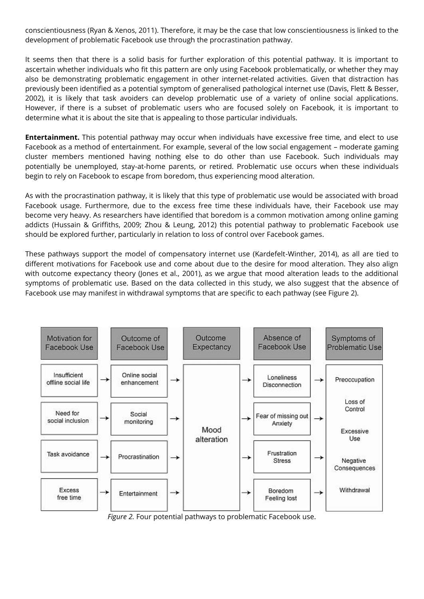conscientiousness (Ryan & Xenos, 2011). Therefore, it may be the case that low conscientiousness is linked to the development of problematic Facebook use through the procrastination pathway.

It seems then that there is a solid basis for further exploration of this potential pathway. It is important to ascertain whether individuals who fit this pattern are only using Facebook problematically, or whether they may also be demonstrating problematic engagement in other internet-related activities. Given that distraction has previously been identified as a potential symptom of generalised pathological internet use (Davis, Flett & Besser, 2002), it is likely that task avoiders can develop problematic use of a variety of online social applications. However, if there is a subset of problematic users who are focused solely on Facebook, it is important to determine what it is about the site that is appealing to those particular individuals.

**Entertainment.** This potential pathway may occur when individuals have excessive free time, and elect to use Facebook as a method of entertainment. For example, several of the low social engagement – moderate gaming cluster members mentioned having nothing else to do other than use Facebook. Such individuals may potentially be unemployed, stay-at-home parents, or retired. Problematic use occurs when these individuals begin to rely on Facebook to escape from boredom, thus experiencing mood alteration.

As with the procrastination pathway, it is likely that this type of problematic use would be associated with broad Facebook usage. Furthermore, due to the excess free time these individuals have, their Facebook use may become very heavy. As researchers have identified that boredom is a common motivation among online gaming addicts (Hussain & Griffiths, 2009; Zhou & Leung, 2012) this potential pathway to problematic Facebook use should be explored further, particularly in relation to loss of control over Facebook games.

These pathways support the model of compensatory internet use (Kardefelt-Winther, 2014), as all are tied to different motivations for Facebook use and come about due to the desire for mood alteration. They also align with outcome expectancy theory (Jones et al., 2001), as we argue that mood alteration leads to the additional symptoms of problematic use. Based on the data collected in this study, we also suggest that the absence of Facebook use may manifest in withdrawal symptoms that are specific to each pathway (see Figure 2).



*Figure 2.* Four potential pathways to problematic Facebook use.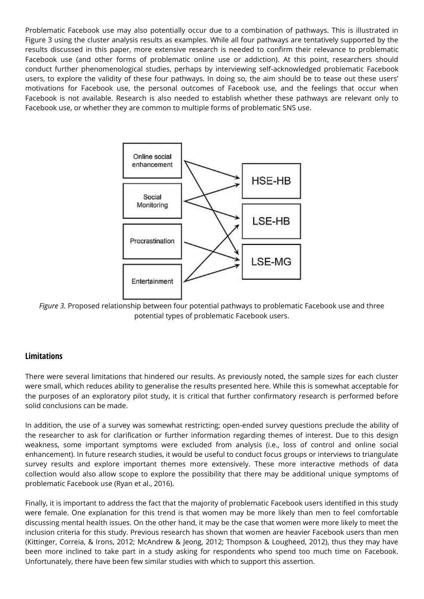Problematic Facebook use may also potentially occur due to a combination of pathways. This is illustrated in Figure 3 using the cluster analysis results as examples. While all four pathways are tentatively supported by the results discussed in this paper, more extensive research is needed to confirm their relevance to problematic Facebook use (and other forms of problematic online use or addiction). At this point, researchers should conduct further phenomenological studies, perhaps by interviewing self-acknowledged problematic Facebook users, to explore the validity of these four pathways. In doing so, the aim should be to tease out these users' motivations for Facebook use, the personal outcomes of Facebook use, and the feelings that occur when Facebook is not available. Research is also needed to establish whether these pathways are relevant only to Facebook use, or whether they are common to multiple forms of problematic SNS use.



*Figure 3.* Proposed relationship between four potential pathways to problematic Facebook use and three potential types of problematic Facebook users.

## **Limitations**

There were several limitations that hindered our results. As previously noted, the sample sizes for each cluster were small, which reduces ability to generalise the results presented here. While this is somewhat acceptable for the purposes of an exploratory pilot study, it is critical that further confirmatory research is performed before solid conclusions can be made.

In addition, the use of a survey was somewhat restricting; open-ended survey questions preclude the ability of the researcher to ask for clarification or further information regarding themes of interest. Due to this design weakness, some important symptoms were excluded from analysis (i.e., loss of control and online social enhancement). In future research studies, it would be useful to conduct focus groups or interviews to triangulate survey results and explore important themes more extensively. These more interactive methods of data collection would also allow scope to explore the possibility that there may be additional unique symptoms of problematic Facebook use (Ryan et al., 2016).

Finally, it is important to address the fact that the majority of problematic Facebook users identified in this study were female. One explanation for this trend is that women may be more likely than men to feel comfortable discussing mental health issues. On the other hand, it may be the case that women were more likely to meet the inclusion criteria for this study. Previous research has shown that women are heavier Facebook users than men (Kittinger, Correia, & Irons, 2012; McAndrew & Jeong, 2012; Thompson & Lougheed, 2012), thus they may have been more inclined to take part in a study asking for respondents who spend too much time on Facebook. Unfortunately, there have been few similar studies with which to support this assertion.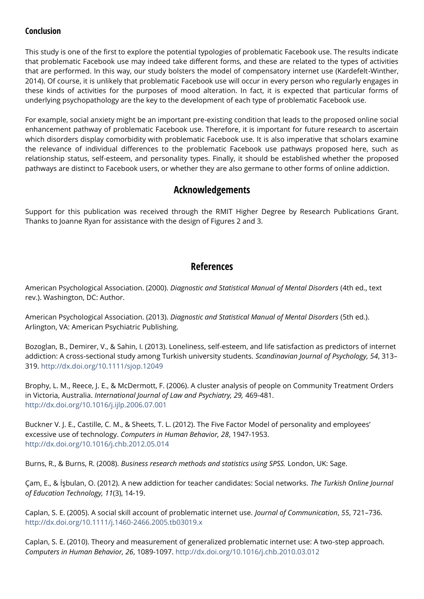## **Conclusion**

This study is one of the first to explore the potential typologies of problematic Facebook use. The results indicate that problematic Facebook use may indeed take different forms, and these are related to the types of activities that are performed. In this way, our study bolsters the model of compensatory internet use (Kardefelt-Winther, 2014). Of course, it is unlikely that problematic Facebook use will occur in every person who regularly engages in these kinds of activities for the purposes of mood alteration. In fact, it is expected that particular forms of underlying psychopathology are the key to the development of each type of problematic Facebook use.

For example, social anxiety might be an important pre-existing condition that leads to the proposed online social enhancement pathway of problematic Facebook use. Therefore, it is important for future research to ascertain which disorders display comorbidity with problematic Facebook use. It is also imperative that scholars examine the relevance of individual differences to the problematic Facebook use pathways proposed here, such as relationship status, self-esteem, and personality types. Finally, it should be established whether the proposed pathways are distinct to Facebook users, or whether they are also germane to other forms of online addiction.

# **Acknowledgements**

Support for this publication was received through the RMIT Higher Degree by Research Publications Grant. Thanks to Joanne Ryan for assistance with the design of Figures 2 and 3.

# **References**

American Psychological Association. (2000). *Diagnostic and Statistical Manual of Mental Disorders* (4th ed., text rev.). Washington, DC: Author.

American Psychological Association. (2013). *Diagnostic and Statistical Manual of Mental Disorders* (5th ed.). Arlington, VA: American Psychiatric Publishing.

Bozoglan, B., Demirer, V., & Sahin, I. (2013). Loneliness, self-esteem, and life satisfaction as predictors of internet addiction: A cross-sectional study among Turkish university students. *Scandinavian Journal of Psychology, 54*, 313– 319.<http://dx.doi.org/10.1111/sjop.12049>

Brophy, L. M., Reece, J. E., & McDermott, F. (2006). A cluster analysis of people on Community Treatment Orders in Victoria, Australia. *International Journal of Law and Psychiatry, 29,* 469-481. <http://dx.doi.org/10.1016/j.ijlp.2006.07.001>

Buckner V. J. E., Castille, C. M., & Sheets, T. L. (2012). The Five Factor Model of personality and employees' excessive use of technology. *Computers in Human Behavior, 28*, 1947-1953. <http://dx.doi.org/10.1016/j.chb.2012.05.014>

Burns, R., & Burns, R. (2008). *Business research methods and statistics using SPSS.* London, UK: Sage.

Çam, E., & İşbulan, O. (2012). A new addiction for teacher candidates: Social networks. *The Turkish Online Journal of Education Technology, 11*(3), 14-19.

Caplan, S. E. (2005). A social skill account of problematic internet use. *Journal of Communication*, *55*, 721–736. <http://dx.doi.org/10.1111/j.1460-2466.2005.tb03019.x>

Caplan, S. E. (2010). Theory and measurement of generalized problematic internet use: A two-step approach. *Computers in Human Behavior, 26*, 1089-1097.<http://dx.doi.org/10.1016/j.chb.2010.03.012>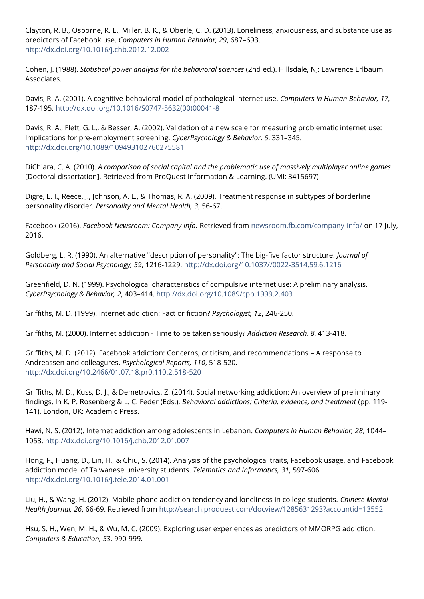Clayton, R. B., Osborne, R. E., Miller, B. K., & Oberle, C. D. (2013). Loneliness, anxiousness, and substance use as predictors of Facebook use. *Computers in Human Behavior, 29*, 687–693. <http://dx.doi.org/10.1016/j.chb.2012.12.002>

Cohen, J. (1988). *Statistical power analysis for the behavioral sciences* (2nd ed.). Hillsdale, NJ: Lawrence Erlbaum Associates.

Davis, R. A. (2001). A cognitive-behavioral model of pathological internet use. *Computers in Human Behavior, 17,*  187-195. [http://dx.doi.org/10.1016/S0747-5632\(00\)00041-8](http://dx.doi.org/10.1016/S0747-5632%2800%2900041-8)

Davis, R. A., Flett, G. L., & Besser, A. (2002). Validation of a new scale for measuring problematic internet use: Implications for pre-employment screening. *CyberPsychology & Behavior, 5*, 331–345. <http://dx.doi.org/10.1089/109493102760275581>

DiChiara, C. A. (2010). *A comparison of social capital and the problematic use of massively multiplayer online games*. [Doctoral dissertation]. Retrieved from ProQuest Information & Learning. (UMI: 3415697)

Digre, E. I., Reece, J., Johnson, A. L., & Thomas, R. A. (2009). Treatment response in subtypes of borderline personality disorder. *Personality and Mental Health, 3*, 56-67.

Facebook (2016). *Facebook Newsroom: Company Info.* Retrieved from [newsroom.fb.com/company-info/](http://cyberpsychology.eu/newsroom.fb.com/company-info/) on 17 July, 2016.

Goldberg, L. R. (1990). An alternative "description of personality": The big-five factor structure. *Journal of Personality and Social Psychology, 59*, 1216-1229. [http://dx.doi.org/10.1037//0022-3514.59.6.1216](http://dx.doi.org/10.1037/0022-3514.59.6.1216) 

Greenfield, D. N. (1999). Psychological characteristics of compulsive internet use: A preliminary analysis. *CyberPsychology & Behavior, 2*, 403–414.<http://dx.doi.org/10.1089/cpb.1999.2.403>

Griffiths, M. D. (1999). Internet addiction: Fact or fiction? *Psychologist, 12*, 246-250.

Griffiths, M. (2000). Internet addiction - Time to be taken seriously? *Addiction Research, 8*, 413-418.

Griffiths, M. D. (2012). Facebook addiction: Concerns, criticism, and recommendations – A response to Andreassen and colleagures. *Psychological Reports, 110*, 518-520. <http://dx.doi.org/10.2466/01.07.18.pr0.110.2.518-520>

Griffiths, M. D., Kuss, D. J., & Demetrovics, Z. (2014). Social networking addiction: An overview of preliminary findings. In K. P. Rosenberg & L. C. Feder (Eds.), *Behavioral addictions: Criteria, evidence, and treatment* (pp. 119- 141). London, UK: Academic Press.

Hawi, N. S. (2012). Internet addiction among adolescents in Lebanon. *Computers in Human Behavior, 28*, 1044– 1053.<http://dx.doi.org/10.1016/j.chb.2012.01.007>

Hong, F., Huang, D., Lin, H., & Chiu, S. (2014). Analysis of the psychological traits, Facebook usage, and Facebook addiction model of Taiwanese university students. *Telematics and Informatics, 31*, 597-606. <http://dx.doi.org/10.1016/j.tele.2014.01.001>

Liu, H., & Wang, H. (2012). Mobile phone addiction tendency and loneliness in college students. *Chinese Mental Health Journal, 26*, 66-69. Retrieved from<http://search.proquest.com/docview/1285631293?accountid=13552>

Hsu, S. H., Wen, M. H., & Wu, M. C. (2009). Exploring user experiences as predictors of MMORPG addiction. *Computers & Education, 53*, 990-999.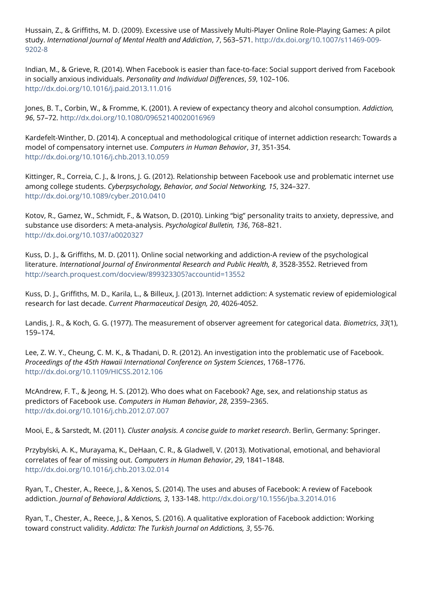Hussain, Z., & Griffiths, M. D. (2009). Excessive use of Massively Multi-Player Online Role-Playing Games: A pilot study. *International Journal of Mental Health and Addiction*, *7*, 563–571. [http://dx.doi.org/10.1007/s11469-009-](http://dx.doi.org/10.1007/s11469-009-9202-8) [9202-8](http://dx.doi.org/10.1007/s11469-009-9202-8)

Indian, M., & Grieve, R. (2014). When Facebook is easier than face-to-face: Social support derived from Facebook in socially anxious individuals. *Personality and Individual Differences*, *59*, 102–106. <http://dx.doi.org/10.1016/j.paid.2013.11.016>

Jones, B. T., Corbin, W., & Fromme, K. (2001). A review of expectancy theory and alcohol consumption. *Addiction, 96*, 57–72.<http://dx.doi.org/10.1080/09652140020016969>

Kardefelt-Winther, D. (2014). A conceptual and methodological critique of internet addiction research: Towards a model of compensatory internet use. *Computers in Human Behavior*, *31*, 351-354. <http://dx.doi.org/10.1016/j.chb.2013.10.059>

Kittinger, R., Correia, C. J., & Irons, J. G. (2012). Relationship between Facebook use and problematic internet use among college students. *Cyberpsychology, Behavior, and Social Networking, 15*, 324–327. <http://dx.doi.org/10.1089/cyber.2010.0410>

Kotov, R., Gamez, W., Schmidt, F., & Watson, D. (2010). Linking "big" personality traits to anxiety, depressive, and substance use disorders: A meta-analysis. *Psychological Bulletin, 136*, 768–821. <http://dx.doi.org/10.1037/a0020327>

Kuss, D. J., & Griffiths, M. D. (2011). Online social networking and addiction-A review of the psychological literature. *International Journal of Environmental Research and Public Health, 8*, 3528-3552. Retrieved from <http://search.proquest.com/docview/899323305?accountid=13552>

Kuss, D. J., Griffiths, M. D., Karila, L., & Billeux, J. (2013). Internet addiction: A systematic review of epidemiological research for last decade. *Current Pharmaceutical Design, 20*, 4026-4052.

Landis, J. R., & Koch, G. G. (1977). The measurement of observer agreement for categorical data. *Biometrics*, *33*(1), 159–174.

Lee, Z. W. Y., Cheung, C. M. K., & Thadani, D. R. (2012). An investigation into the problematic use of Facebook. *Proceedings of the 45th Hawaii International Conference on System Sciences*, 1768–1776. <http://dx.doi.org/10.1109/HICSS.2012.106>

McAndrew, F. T., & Jeong, H. S. (2012). Who does what on Facebook? Age, sex, and relationship status as predictors of Facebook use. *Computers in Human Behavior*, *28*, 2359–2365. <http://dx.doi.org/10.1016/j.chb.2012.07.007>

Mooi, E., & Sarstedt, M. (2011). *Cluster analysis. A concise guide to market research*. Berlin, Germany: Springer.

Przybylski, A. K., Murayama, K., DeHaan, C. R., & Gladwell, V. (2013). Motivational, emotional, and behavioral correlates of fear of missing out. *Computers in Human Behavior*, *29*, 1841–1848. <http://dx.doi.org/10.1016/j.chb.2013.02.014>

Ryan, T., Chester, A., Reece, J., & Xenos, S. (2014). The uses and abuses of Facebook: A review of Facebook addiction. *Journal of Behavioral Addictions, 3*, 133-148[. http://dx.doi.org/10.1556/jba.3.2014.016](http://dx.doi.org/10.1556/jba.3.2014.016) 

Ryan, T., Chester, A., Reece, J., & Xenos, S. (2016). A qualitative exploration of Facebook addiction: Working toward construct validity. *Addicta: The Turkish Journal on Addictions, 3*, 55-76.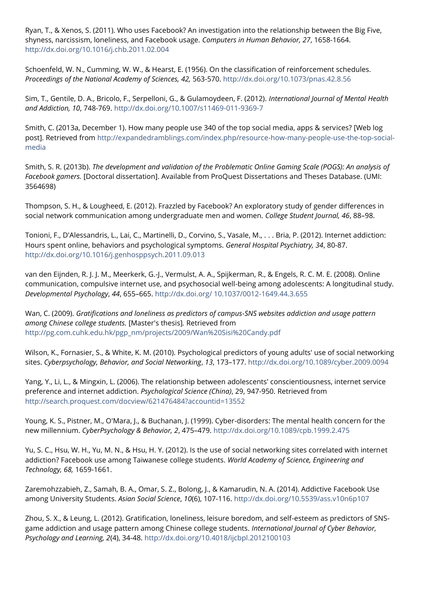Ryan, T., & Xenos, S. (2011). Who uses Facebook? An investigation into the relationship between the Big Five, shyness, narcissism, loneliness, and Facebook usage. *Computers in Human Behavior, 27*, 1658-1664. <http://dx.doi.org/10.1016/j.chb.2011.02.004>

Schoenfeld, W. N., Cumming, W. W., & Hearst, E. (1956). On the classification of reinforcement schedules. *Proceedings of the National Academy of Sciences, 42,* 563-570.<http://dx.doi.org/10.1073/pnas.42.8.56>

Sim, T., Gentile, D. A., Bricolo, F., Serpelloni, G., & Gulamoydeen, F. (2012). *International Journal of Mental Health and Addiction, 10*, 748-769.<http://dx.doi.org/10.1007/s11469-011-9369-7>

Smith, C. (2013a, December 1). How many people use 340 of the top social media, apps & services? [Web log post]. Retrieved from [http://expandedramblings.com/index.php/resource-how-many-people-use-the-top-social](http://expandedramblings.com/index.php/resource-how-many-people-use-the-top-social-media)[media](http://expandedramblings.com/index.php/resource-how-many-people-use-the-top-social-media)

Smith, S. R. (2013b). *The development and validation of the Problematic Online Gaming Scale (POGS): An analysis of Facebook gamers.* [Doctoral dissertation]. Available from ProQuest Dissertations and Theses Database. (UMI: 3564698)

Thompson, S. H., & Lougheed, E. (2012). Frazzled by Facebook? An exploratory study of gender differences in social network communication among undergraduate men and women. *College Student Journal, 46*, 88–98.

Tonioni, F., D'Alessandris, L., Lai, C., Martinelli, D., Corvino, S., Vasale, M., . . . Bria, P. (2012). Internet addiction: Hours spent online, behaviors and psychological symptoms. *General Hospital Psychiatry, 34*, 80-87. <http://dx.doi.org/10.1016/j.genhosppsych.2011.09.013>

van den Eijnden, R. J. J. M., Meerkerk, G.-J., Vermulst, A. A., Spijkerman, R., & Engels, R. C. M. E. (2008). Online communication, compulsive internet use, and psychosocial well-being among adolescents: A longitudinal study. *Developmental Psychology*, *44*, 655–665. [http://dx.doi.org/ 10.1037/0012-1649.44.3.655](http://dx.doi.org/10.1037/0012-1649.44.3.655)

Wan, C. (2009). *Gratifications and loneliness as predictors of campus-SNS websites addiction and usage pattern among Chinese college students.* [Master's thesis]*.* Retrieved from [http://pg.com.cuhk.edu.hk/pgp\\_nm/projects/2009/Wan%20Sisi%20Candy.pdf](http://pg.com.cuhk.edu.hk/pgp_nm/projects/2009/Wan%20Sisi%20Candy.pdf)

Wilson, K., Fornasier, S., & White, K. M. (2010). Psychological predictors of young adults' use of social networking sites. *Cyberpsychology, Behavior, and Social Networking*, *13*, 173–177.<http://dx.doi.org/10.1089/cyber.2009.0094>

Yang, Y., Li, L., & Mingxin, L. (2006). The relationship between adolescents' conscientiousness, internet service preference and internet addiction. *Psychological Science (China)*, 29, 947-950. Retrieved from <http://search.proquest.com/docview/621476484?accountid=13552>

Young, K. S., Pistner, M., O'Mara, J., & Buchanan, J. (1999). Cyber-disorders: The mental health concern for the new millennium. *CyberPsychology & Behavior, 2*, 475–479.<http://dx.doi.org/10.1089/cpb.1999.2.475>

Yu, S. C., Hsu, W. H., Yu, M. N., & Hsu, H. Y. (2012). Is the use of social networking sites correlated with internet addiction? Facebook use among Taiwanese college students. *World Academy of Science, Engineering and Technology, 68,* 1659-1661.

Zaremohzzabieh, Z., Samah, B. A., Omar, S. Z., Bolong, J., & Kamarudin, N. A. (2014). Addictive Facebook Use among University Students. *Asian Social Science*, *10*(6), 107-116.<http://dx.doi.org/10.5539/ass.v10n6p107>

Zhou, S. X., & Leung, L. (2012). Gratification, loneliness, leisure boredom, and self-esteem as predictors of SNSgame addiction and usage pattern among Chinese college students. *International Journal of Cyber Behavior, Psychology and Learning, 2*(4), 34-48.<http://dx.doi.org/10.4018/ijcbpl.2012100103>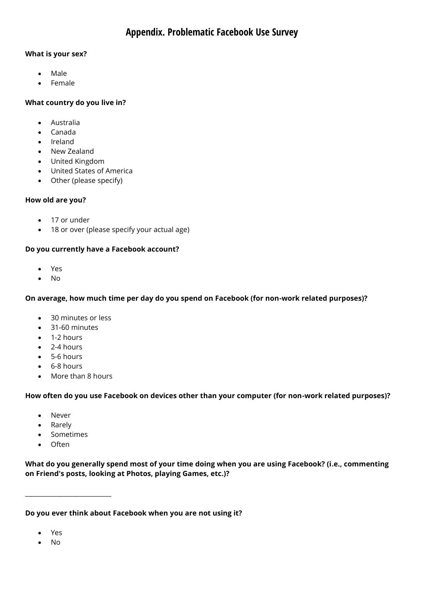# **Appendix. Problematic Facebook Use Survey**

#### **What is your sex?**

- Male
- Female

#### **What country do you live in?**

- Australia
- Canada
- Ireland
- New Zealand
- United Kingdom
- United States of America
- Other (please specify)

#### **How old are you?**

- 17 or under
- 18 or over (please specify your actual age)

#### **Do you currently have a Facebook account?**

- Yes
- $\bullet$  No

#### **On average, how much time per day do you spend on Facebook (for non-work related purposes)?**

- 30 minutes or less
- 31-60 minutes
- 1-2 hours
- $\bullet$  2-4 hours
- 5-6 hours
- 6-8 hours
- More than 8 hours

## **How often do you use Facebook on devices other than your computer (for non-work related purposes)?**

- Never
- Rarely
- Sometimes

\_\_\_\_\_\_\_\_\_\_\_\_\_\_\_\_\_\_\_\_\_\_\_\_\_\_\_

• Often

**What do you generally spend most of your time doing when you are using Facebook? (i.e., commenting on Friend's posts, looking at Photos, playing Games, etc.)?**

**Do you ever think about Facebook when you are not using it?**

- Yes
- No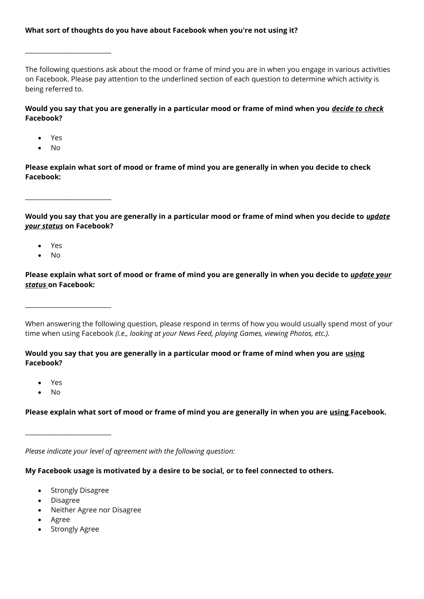#### **What sort of thoughts do you have about Facebook when you're not using it?**

The following questions ask about the mood or frame of mind you are in when you engage in various activities on Facebook. Please pay attention to the underlined section of each question to determine which activity is being referred to.

**Would you say that you are generally in a particular mood or frame of mind when you** *decide to check*  **Facebook?**

Yes

 $\_$ 

• No

**Please explain what sort of mood or frame of mind you are generally in when you decide to check Facebook:**

**Would you say that you are generally in a particular mood or frame of mind when you decide to** *update your status* **on Facebook?**

Yes

 $\_$ 

 $\_$ 

No

**Please explain what sort of mood or frame of mind you are generally in when you decide to** *update your status* **on Facebook:**

When answering the following question, please respond in terms of how you would usually spend most of your time when using Facebook *(i.e., looking at your News Feed, playing Games, viewing Photos, etc.).*

**Would you say that you are generally in a particular mood or frame of mind when you are using Facebook?**

- Yes
- No

**Please explain what sort of mood or frame of mind you are generally in when you are using Facebook.**

*Please indicate your level of agreement with the following question:*

**My Facebook usage is motivated by a desire to be social, or to feel connected to others.**

Strongly Disagree

 $\_$ 

- Disagree
- Neither Agree nor Disagree
- Agree
- Strongly Agree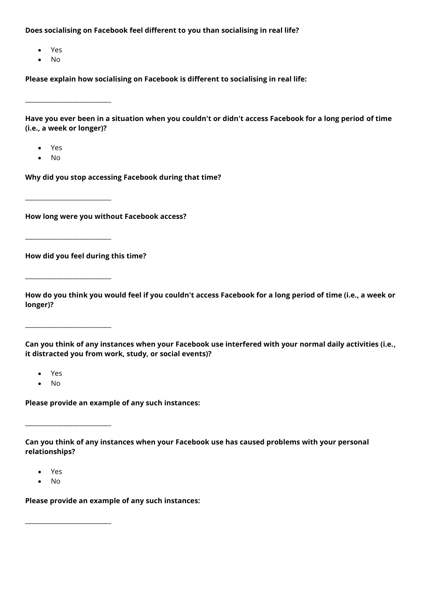**Does socialising on Facebook feel different to you than socialising in real life?**

- Yes
- No

\_\_\_\_\_\_\_\_\_\_\_\_\_\_\_\_\_\_\_\_\_\_\_\_\_\_\_

 $\_$ 

\_\_\_\_\_\_\_\_\_\_\_\_\_\_\_\_\_\_\_\_\_\_\_\_\_\_\_

\_\_\_\_\_\_\_\_\_\_\_\_\_\_\_\_\_\_\_\_\_\_\_\_\_\_\_

 $\_$ 

**Please explain how socialising on Facebook is different to socialising in real life:**

**Have you ever been in a situation when you couldn't or didn't access Facebook for a long period of time (i.e., a week or longer)?**

- Yes
- No

**Why did you stop accessing Facebook during that time?**

**How long were you without Facebook access?**

**How did you feel during this time?**

 $\_$ 

**How do you think you would feel if you couldn't access Facebook for a long period of time (i.e., a week or longer)?**

**Can you think of any instances when your Facebook use interfered with your normal daily activities (i.e., it distracted you from work, study, or social events)?**

- Yes
- No

**Please provide an example of any such instances:**

**Can you think of any instances when your Facebook use has caused problems with your personal relationships?**

- Yes
- No

**Please provide an example of any such instances:**

 $\_$